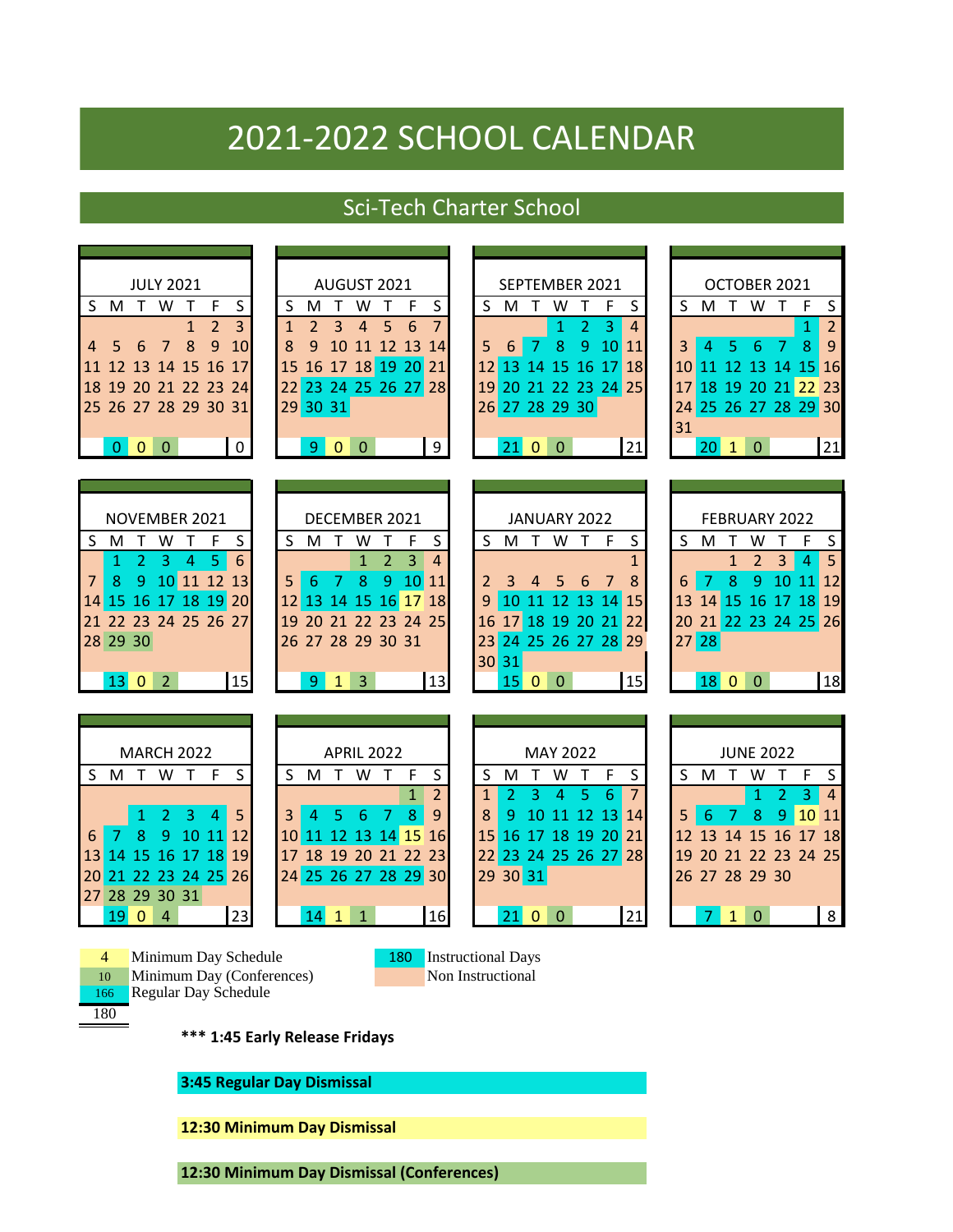## 2021-2022 SCHOOL CALENDAR

## Sci-Tech Charter School

| <b>JULY 2021</b><br>SMTWTF<br>$\mathsf{S}$<br>$\overline{2}$<br>$\overline{3}$<br>$\mathbf{1}$<br>8<br>$\overline{9}$<br>$\overline{7}$<br>10<br>6<br>5<br>4<br>12 13 14 15 16 17<br>11<br>18 19 20 21 22 23 24<br>25 26 27 28 29 30 31<br>$0 \vert 0 \vert 0$<br>$\overline{\phantom{0}}$ | AUGUST 2021<br>S<br>M<br>S<br>$\mathsf{T}$<br>W<br>T<br>F<br>$6\phantom{1}6$<br>$\overline{7}$<br>$\overline{2}$<br>3<br>5<br>$\mathbf{1}$<br>4<br>11 12 13 14<br>8<br>9<br>10<br>15 16 17 18 19 20 21<br>22 23 24 25 26 27 28<br>29 30 31<br>900<br>9                                                                                          | SEPTEMBER 2021<br>S M T<br>W<br>$\top$<br>$-F$<br>S<br>$\overline{3}$<br>$\overline{2}$<br>$\overline{4}$<br>$\mathbf{1}$<br>8<br>$\overline{9}$<br>$\overline{7}$<br>1011<br>5<br>6<br>16 17 18<br>15<br>12<br>13 14<br>21 22 23 24 25<br>19<br>20<br>26 27 28 29 30<br>21<br>2100 | OCTOBER 2021<br>SMTWTF<br>$\sf S$<br>$\overline{2}$<br>1<br>$6\phantom{1}6$<br>$\overline{7}$<br>8<br>9<br>3<br>5<br>4<br>11 12 13 14 15 16<br>10<br>18 19 20 21 22 23<br>17 <sup>1</sup><br>24 25 26 27 28 29 30<br>31<br>$20 \quad 1 \quad 0$<br>21                        |
|--------------------------------------------------------------------------------------------------------------------------------------------------------------------------------------------------------------------------------------------------------------------------------------------|-------------------------------------------------------------------------------------------------------------------------------------------------------------------------------------------------------------------------------------------------------------------------------------------------------------------------------------------------|-------------------------------------------------------------------------------------------------------------------------------------------------------------------------------------------------------------------------------------------------------------------------------------|------------------------------------------------------------------------------------------------------------------------------------------------------------------------------------------------------------------------------------------------------------------------------|
| NOVEMBER 2021<br>T W<br>S<br>S M<br>-F<br>$\top$<br>6<br>$\overline{2}$<br>$\overline{3}$<br>5<br>$\overline{4}$<br>$\mathbf{1}$<br>10 11 12 13<br>8<br>9<br>7<br>16 17 18 19 20<br>15<br>14<br>21 22 23 24 25 26 27<br>28 29 30<br>$13 \quad 0 \quad 2$<br>15                             | DECEMBER 2021<br>S M<br>W<br>S<br>$\mathsf{T}$<br>T<br>F<br>$\overline{2}$<br>$\overline{3}$<br>$\overline{4}$<br>$\mathbf{1}$<br>7 <sup>1</sup><br>8<br>5<br>6<br>9<br>10 <sup>1</sup><br>11<br>16 17 18<br>13 14 15<br>12 <sup>1</sup><br>19 20 21 22 23 24 25<br>26 27 28 29 30 31<br>$\overline{3}$<br>13<br>9 <sup>°</sup><br>$\mathbf{1}$ | JANUARY 2022<br>T W T F<br>S M<br>S<br>$\mathbf{1}$<br>8<br>6<br>3<br>$\overline{4}$<br>5<br>7<br>2<br>11 12 13 14 15<br>10<br>q<br>17 18 19 20 21 22<br>16<br>23 24 25 26 27 28 29<br>30 31<br>15<br>1500                                                                          | FEBRUARY 2022<br>S M<br>W<br>S<br>- F<br>$\mathsf T$<br>$\top$<br>$\overline{5}$<br>$\overline{2}$<br>$\mathbf{1}$<br>3 <sup>1</sup><br>$\overline{4}$<br>$\overline{7}$<br>9 10 11 12<br>8<br>6<br>13 14 15 16 17 18 19<br>21 22 23 24 25 26<br>20<br>$27$ 28<br>1800<br>18 |
| <b>MARCH 2022</b><br>SMTWT<br>$-F$<br>S.<br>3<br>5<br>2<br>4<br>1<br>10<br>9<br>11<br>12<br>8<br>17<br><b>18</b><br>19<br>16<br>15<br>22 23 24 25 26<br>20<br>21<br>28 29 30 31<br>27<br>23<br>19<br>$\overline{0}$<br>$\overline{4}$                                                      | <b>APRIL 2022</b><br>S<br>SMTWT<br>$-F$<br>$\overline{2}$<br>$\mathbf{1}$<br>$8\phantom{1}$<br>9<br>$6\phantom{1}$<br>- 7<br>4<br>5.<br>3<br>10 11 12 13 14 15<br>16<br>17 18 19 20 21 22 23<br>24 25 26 27 28 29 30<br>16<br>14<br>$\mathbf{1}$<br>$\mathbf{1}$                                                                                | MAY 2022<br>S<br>F<br>S<br>M<br>T<br>W<br>$\top$<br>$\overline{7}$<br>5<br>6<br>$\mathbf{1}$<br>2<br>3<br>4<br>9<br>10 11 12 13 14<br>8<br>17 18 19 20 21<br>16<br>15<br>22 23 24 25 26 27 28<br>29 30 31<br>21<br>2100                                                             | <b>JUNE 2022</b><br>F<br>S<br>S M T W<br>$\top$<br>$\overline{2}$<br>3<br>4<br>1<br>$\boldsymbol{9}$<br>10 11<br>6<br>$\overline{7}$<br>$\bf 8$<br>5<br>12 13 14 15 16 17 18<br>19 20 21 22 23 24 25<br>26 27 28 29 30<br>8<br>$\mathbf{0}$<br>7<br>$\mathbf{1}$             |
| Minimum Day Schedule<br>$\overline{4}$<br>Minimum Day (Conferences)<br>10<br><b>Regular Day Schedule</b><br>166<br>180<br>12:30 Minimum Day Dismissal                                                                                                                                      | 180<br>*** 1:45 Early Release Fridays<br>3:45 Regular Day Dismissal                                                                                                                                                                                                                                                                             | <b>Instructional Days</b><br>Non Instructional                                                                                                                                                                                                                                      |                                                                                                                                                                                                                                                                              |

**12:30 Minimum Day Dismissal (Conferences)**